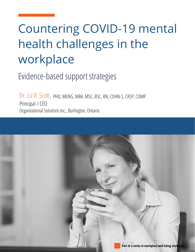# Countering COVID-19 mental health challenges in the workplace

Evidence-based support strategies

Dr. Liz R. Scott, PHD, MENG, MBA, MSC, BSC, RN, COHN-S, CRSP, CDMP Principal / CEO Organizational Solutions Inc., Burlington, Ontario

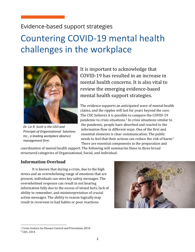### Evidence-based support strategies

# Countering COVID-19 mental health challenges in the workplace



*Dr. Liz R. Scott is the CEO and Principal of Organizational Solutions Inc., a leading workplace absence management firm.*

It is important to acknowledge that COVID-19 has resulted in an increase in mental health concerns. It is also vital to review the emerging evidence-based mental health support strategies.

The evidence supports an anticipated wave of mental health claims, and the ripples will last for years beyond the cure. The CDC believes it is possible to compare the COVID-19 pandemic to crisis situations.<sup>1</sup> In crisis situations similar to the pandemic, people have absorbed and reacted to the information flow in different ways. One of the first and essential elements is clear communication. The public needs to feel that their actions can reduce the risk of harm.<sup>2</sup> There are essential components in the preparation and

coordination of mental health support. The following will summarize these in three broad structured categories of Organizational, Social, and Individual.

#### **Information Overload**

It is known that during a crisis, due to the high stress and an overwhelming range of emotions that are present, individuals can miss key safety messages. The overwhelmed response can result in not hearing information fully due to the excess of mixed facts, lack of ability to remember, and misinterpretation of crucial action messages. The ability to reason logically may result in reversion to bad habits or poor reactions.



<sup>&</sup>lt;sup>1</sup> Crisis Centers for Disease Control and Prevention, 2014.

<sup>&</sup>lt;sup>2</sup> CDC, 2014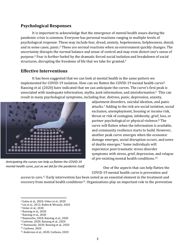#### **Psychological Responses**

It is important to acknowledge that the emergence of mental health issues during the pandemic crisis is common. Everyone has personal reactions ranging in multiple levels of psychological response. These may include fear, dread, anxiety, hopelessness, helplessness, denial, and in some cases, panic.<sup>3</sup> These are normal reactions when an environment quickly changes. The uncertainty disrupts the normal balance and sense of control and may even distort one's sense of purpose.<sup>4</sup> Fear is further fueled by the dramatic forced social isolation and breakdown of social structures, disrupting the freedoms of life that we take for granted.<sup>5</sup>

#### **Effective Interventions**

It has been suggested that we can look at mental health in the same pattern we implemented for COVID-19 isolation. How can we flatten the COVID-19 mental health curve? Ransing et al. (2020) have indicated that we can anticipate the curves. The curve's first peak is associated with inadequate information, myths, junk information, and misinformation.<sup>6</sup> This can result in many psychological symptoms, including fear, distress, panic, depression, anxiety,



*Anticipating the curves can help us flatten the COVID-19 mental health curve, just as we did for the pandemic itself.*

adjustment disorders, suicidal ideation, and panic attacks.<sup>7</sup> Adding to the risk are social isolation, social exclusion, unemployment, housing or income risk, threat or risk of contagion, infobesity, grief, loss, or partner psychological or physical violence.<sup>8</sup> The curve will flatten when the information is available, and community resilience starts to build. However, another peak curve emerges when the economic damage emerges, social disruption occurs, and news of deaths emerges.<sup>9</sup> Some individuals will experience post-traumatic stress disorder symptoms with stress, grief, depression, and relapse of pre-existing mental health conditions. $10$ 

One of the aspects that can help flatten the COVID-19 mental health curve is prevention and

access to care.<sup>11</sup> Early intervention has been noted as an essential element in the treatment and recovery from mental health conditions<sup>12</sup>. Organizations play an important role in the prevention

- <sup>7</sup> Ransing et al., 2020
- <sup>8</sup> Hamouche, 2020; Ransing et al., 2020
- $9$  Carbone, 2020; Ransing et al., 2020
- $10$  Hamouche, 2020; Ransing et al., 2020

<sup>&</sup>lt;sup>3</sup> Galea et al., 2020; Usher et al., 2020

<sup>&</sup>lt;sup>4</sup> Lin et al., 2013; Rubin & Wessely, 2020

<sup>5</sup> Usher et al., 2020

<sup>&</sup>lt;sup>6</sup> Ransing et al., 2020

<sup>&</sup>lt;sup>11</sup> Carbone, 2020

<sup>12</sup> Anderson et al., 2020; Carbone, 2020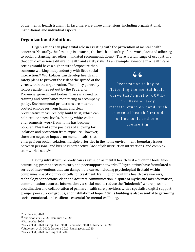of the mental health tsunami. In fact, there are three dimensions, including organizational, institutional, and individual aspects. $13$ 

#### **Organizational Solutions**

Organizations can play a vital role in assisting with the prevention of mental health concerns. Naturally, the first step is ensuring the health and safety of the workplace and adhering to social distancing and other mandated recommendations.<sup>14</sup> There is a full range of occupations that could experience different health and safety risks. As an example, someone in a health care

setting would have a higher risk of exposure than someone working independently with little social interaction.<sup>15</sup> Workplaces can develop health and safety plans to prevent the risk of the spread of the virus within the organization. The policy generally follows guidelines set out by the Federal or Provincial government bodies. There is a need for training and compliance monitoring to accompany policy. Environmental protections are meant to protect employees from harm, and clear preventative measures help build trust, which can help reduce stress levels. In many white-collar environments, work from home has become popular. This had some positives of allowing for isolation and protection from exposure. However, there are negative impacts on mental health that

## $66$

Preparation is key to flattening the mental health curve that's part of COVID-19. Have a ready infrastructure on hand; such as mental health first aid, online tools and telecounseling.

emerge from social isolation, multiple priorities in the home environment, boundary issues between personal and business perspective, lack of job instruction interactions, and complex teamwork issues.<sup>16</sup>

Having infrastructure ready can assist, such as mental health first aid, online tools, telecounseling, prompt access to care, and peer support networks.<sup>17</sup> Psychiatrists have formulated a series of interventions that can dampen the curve, including psychological first aid within companies, specific clinics or cells for treatment, training for front line health care workers, technology connections, clear and accurate communication, dispute of myths and misinformation, communication accurate information via social media, reduce the "infodemic" where possible, coordination and collaboration of primary health care providers with a specialist, digital support groups, peer support groups, and instillation of hope.<sup>18</sup> Skills building is also essential to garnering social, emotional, and resilience essential for mental wellbeing.

<sup>&</sup>lt;sup>13</sup> Hamouche, 2020

<sup>&</sup>lt;sup>14</sup> Anderson et al., 2020; Hamouche, 2020

<sup>&</sup>lt;sup>15</sup> Hamouche, 2020

<sup>&</sup>lt;sup>16</sup> Galea et al., 2020; Giorgi et al., 2020; Hamouche, 2020; Usher et al., 2020

 $17$  Anderson et al., 2020; Carbone, 2020; Ransing et al., 2020

<sup>18</sup> Galea et al., 2020; Ransing et al., 2020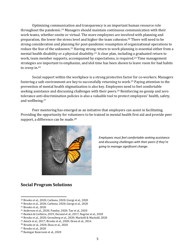Optimizing communication and transparency is an important human resource role throughout the pandemic.<sup>19</sup> Managers should maintain continuous communication with their work teams, whether onsite or virtual. The more employees are involved with planning and preparation, the lower the stress level and higher the team cohesion.<sup>20</sup> There will need to be strong consideration and planning for post-pandemic resumption of organizational operations to reduce the fear of the unknown.<sup>21</sup> Having strong return to work planning is essential either from a mental health disability or a physical disability.<sup>22</sup> A clear plan, including a graduated return to work, team member supports, accompanied by expectations, is required.<sup>23</sup> Time management strategies are important to emphasize, and idol time has been shown to leave room for bad habits to creep in. $24$ 

Social support within the workplace is a strong protective factor for co-workers. Managers fostering a safe environment are key to successfully returning to work.<sup>25</sup> Paying attention to the prevention of mental health stigmatization is also key. Employees need to feel comfortable seeking assistance and discussing challenges with their peers.<sup>26</sup> Reinforcing no gossip and zero tolerance anti-discrimination policies is also a valuable tool to protect employees' health, safety, and wellbeing.<sup>27</sup>

Peer mentoring has emerged as an initiative that employers can assist in facilitating. Providing the opportunity for volunteers to be trained in mental health first aid and provide peer support, a difference can be made. $^{28}$ 



*Employees must feel comfortable seeking assistance and discussing challenges with their peers if they're going to manage significant change.*

#### **Social Program Solutions**

<sup>19</sup> Brooks et al., 2020; Carbone, 2020; Giorgi et al., 2020

 $20$  Brooks et al., 2020; Carbone, 2020; Giorgi et al., 2020

<sup>&</sup>lt;sup>21</sup> Brooks et al., 2020

<sup>&</sup>lt;sup>22</sup> Anderson et al., 2020; Pandey, 2020; Tan et al., 2020

<sup>&</sup>lt;sup>23</sup> Bastien & Corbière, 2019; Durand et al., 2017; Negrini et al., 2018

<sup>&</sup>lt;sup>24</sup> Brooks et al., 2020; Greenberg et al., 2020; Mackolil & Mackolil, 2020

 $25$  Amick et al.,  $2017$ ; Brooks et al.,  $2020$ ; Dewa et al.,  $2016$ 

<sup>&</sup>lt;sup>26</sup> Brooks et al., 2020; Zhou et al., 2020

<sup>&</sup>lt;sup>27</sup> Brooks et al., 2020

<sup>&</sup>lt;sup>28</sup> Rastegar Kazerooni et al., 2020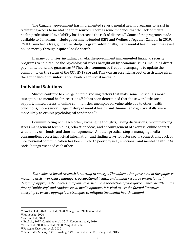The Canadian government has implemented several mental health programs to assist in facilitating access to mental health resources. There is some evidence that the lack of mental health professionals' availability has increased the risk of distress.<sup>29</sup> Some of the programs made available to Canadians include government-funded iCBT and Wellness Together Canada. In 2019, CMHA launched a free, guided self-help program. Additionally, many mental health resources exist online merely through a quick Google search.

In many countries, including Canada, the government implemented financial security programs to help reduce the psychological stress brought on by economic issues. Including direct payments, loans, and guarantees.<sup>30</sup> They also commenced frequent campaigns to update the community on the status of the COVID-19 spread. This was an essential aspect of assistance given the abundance of misinformation available in social media.<sup>31</sup>

#### **Individual Solutions**

Studies continue to emerge on predisposing factors that make some individuals more susceptible to mental health reactions.<sup>32</sup> It has been determined that those with little social support, limited access to online communities, unemployed, vulnerable due to other health conditions, more senior in age, history of mental health, and diminished cognitive skills, were more likely to exhibit psychological conditions.<sup>33</sup>

Communicating with each other, exchanging thoughts, having discussions, recommending stress management techniques, relaxation ideas, and encouragement of exercise, online contact with family or friends, and time management.<sup>34</sup> Another practical step is managing media consumption, accessing factual information, and finding ways to foster social connections. Lack of interpersonal communication has been linked to poor physical, emotional, and mental health.<sup>35</sup> As social beings, we need each other.

The evidence-based research is starting to emerge. The information presented in this paper is *meant to assist workplace managers, occupational health, and human resource professionals in* designing appropriate policies and plans to assist in the protection of workforce mental health. In the *face of "infobesity"* and random social media opinions, it is vital to use the factual literature *emerging* to ensure appropriate strategies to mitigate the mental health tsunami.

 $29$  Brooks et al., 2020; Ho et al., 2020; Zhang et al., 2020; Zhou et al.

<sup>&</sup>lt;sup>30</sup> Hamouche, 2020

<sup>31</sup> Garfin et al., 2020

<sup>&</sup>lt;sup>32</sup> Busfield, 1997; Considine et al., 2017; Koopmans et al., 2010

<sup>33</sup> Chiu et al., 2020; Luo et al., 2020; Yang et al., 2020

<sup>&</sup>lt;sup>34</sup> Rastegar Kazerooni et al., 2020

<sup>35</sup> Baumeister & Leary, 1995; Bowling, 1995; Galea et al., 2020; Prang et al., 2015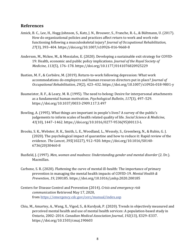#### **References**

- Amick, B. C., Lee, H., Hogg-Johnson, S., Katz, J. N., Brouwer, S., Franche, R.-L., & Bültmann, U. (2017). How do organizational policies and practices affect return to work and work role functioning following a musculoskeletal injury? *Journal of Occupational Rehabilitation*, 27(3), 393-404. https://doi.org/10.1007/s10926-016-9668-8
- Anderson, M., Mckee, M., & Mossialos, E. (2020). Developing a sustainable exit strategy for COVID-19: Health, economic and public policy implications. *Journal of the Royal Society of Medicine*, *113*(5), 176–178. https://doi.org/10.1177/0141076820925229
- Bastien, M. F., & Corbière, M. (2019). Return-to-work following depression: What work accommodations do employers and human resources directors put in place? *Journal of Occupational Rehabilitation*, *29*(2), 423–432. https://doi.org/10.1007/s10926-018-9801-y
- Baumeister, R. F., & Leary, M. R. (1995). The need to belong: Desire for interpersonal attachments as a fundamental human motivation. *Psychological Bulletin*, 117(3), 497-529. https://doi.org/10.1037/0033-2909.117.3.497
- Bowling, A. (1995). What things are important in people's lives? A survey of the public's judgements to inform scales of health related quality of life. *Social Science & Medicine*, *41*(10), 1447–1462. https://doi.org/10.1016/0277-9536(95)00113-L
- Brooks, S. K., Webster, R. K., Smith, L. E., Woodland, L., Wessely, S., Greenberg, N., & Rubin, G. J. (2020). The psychological impact of quarantine and how to reduce it: Rapid review of the evidence. The Lancet, 395(10227), 912-920. https://doi.org/10.1016/S0140-6736(20)30460-8
- Busfield, J. (1997). *Men, women and madness: Understanding gender and mental disorder* (2. Dr.). Macmillan.
- Carbone, S. R. (2020). Flattening the curve of mental ill-health: The importance of primary prevention in managing the mental health impacts of COVID-19. *Mental Health & Prevention, 19, 200185. https://doi.org/10.1016/j.mhp.2020.200185*
- Centers for Disease Control and Prevention (2014). *Crisis and emergency risk communication* Retrieved May 17, 2020, from https://emergency.cdc.gov/cerc/manual/index.asp
- Chiu, M., Amartey, A., Wang, X., Vigod, S., & Kurdyak, P. (2020). Trends in objectively measured and perceived mental health and use of mental health services: A population-based study in Ontario, 2002–2014. *Canadian Medical Association Journal*, *192*(13), E329–E337. https://doi.org/10.1503/cmaj.190603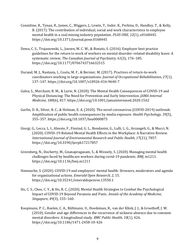- Considine, R., Tynan, R., James, C., Wiggers, J., Lewin, T., Inder, K., Perkins, D., Handley, T., & Kelly, B. (2017). The contribution of individual, social and work characteristics to employee mental health in a coal mining industry population. *PLOS ONE*, 12(1), e0168445. https://doi.org/10.1371/journal.pone.0168445
- Dewa, C. S., Trojanowski, L., Joosen, M. C. W., & Bonato, S. (2016). Employer best practice guidelines for the return to work of workers on mental disorder-related disability leave: A systematic review. The Canadian Journal of Psychiatry, 61(3), 176-185. https://doi.org/10.1177/0706743716632515
- Durand, M. J., Nastasia, I., Coutu, M. F., & Bernier, M. (2017). Practices of return-to-work coordinators working in large organizations. *Journal of Occupational Rehabilitation*, 27(1), 137–147. https://doi.org/10.1007/s10926-016-9640-7
- Galea, S., Merchant, R. M., & Lurie, N. (2020). The Mental Health Consequences of COVID-19 and Physical Distancing: The Need for Prevention and Early Intervention. *JAMA Internal Medicine, 180*(6), 817. https://doi.org/10.1001/jamainternmed.2020.1562
- Garfin, D. R., Silver, R. C., & Holman, E. A. (2020). The novel coronavirus (COVID-2019) outbreak: Amplification of public health consequences by media exposure. *Health Psychology*, 39(5), 355–357. https://doi.org/10.1037/hea0000875
- Giorgi, G., Lecca, L. I., Alessio, F., Finstad, G. L., Bondanini, G., Lulli, L. G., Arcangeli, G., & Mucci, N. (2020). COVID-19-Related Mental Health Effects in the Workplace: A Narrative Review. *International Journal of Environmental Research and Public Health, 17(21), 7857.* https://doi.org/10.3390/ijerph17217857
- Greenberg, N., Docherty, M., Gnanapragasam, S., & Wessely, S. (2020). Managing mental health challenges faced by healthcare workers during covid-19 pandemic. *BMJ*, m1211. https://doi.org/10.1136/bmj.m1211
- Hamouche, S. (2020). COVID-19 and employees' mental health: Stressors, moderators and agenda for organizational actions. *Emerald Open Research*, 2, 15. https://doi.org/10.35241/emeraldopenres.13550.1
- Ho, C. S., Chee, C. Y., & Ho, R. C. (2020). Mental Health Strategies to Combat the Psychological Impact of COVID-19 Beyond Paranoia and Panic. *Annals of the Academy of Medicine*, *Singapore,* 49(3), 155-160.
- Koopmans, P. C., Roelen, C. A., Bültmann, U., Hoedeman, R., van der Klink, J. J., & Groothoff, J. W. (2010). Gender and age differences in the recurrence of sickness absence due to common mental disorders: A longitudinal study. *BMC Public Health*, 10(1), 426. https://doi.org/10.1186/1471-2458-10-426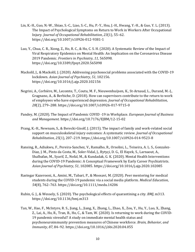- Lin, K.-H., Guo, N.-W., Shiao, S.-C., Liao, S.-C., Hu, P.-Y., Hsu, J.-H., Hwang, Y.-H., & Guo, Y. L. (2013). The Impact of Psychological Symptoms on Return to Work in Workers After Occupational Injury. *Journal of Occupational Rehabilitation*, *23*(1), 55–62. https://doi.org/10.1007/s10926-012-9381-1
- Luo, Y., Chua, C. R., Xiong, Z., Ho, R. C., & Ho, C. S. H. (2020). A Systematic Review of the Impact of Viral Respiratory Epidemics on Mental Health: An Implication on the Coronavirus Disease 2019 Pandemic. *Frontiers in Psychiatry*, *11*, 565098. https://doi.org/10.3389/fpsyt.2020.565098
- Mackolil, J., & Mackolil, J. (2020). Addressing psychosocial problems associated with the COVID-19 lockdown. Asian Journal of Psychiatry, 51, 102156. https://doi.org/10.1016/j.ajp.2020.102156
- Negrini, A., Corbière, M., Lecomte, T., Coutu, M. F., Nieuwenhuijsen, K., St-Arnaud, L., Durand, M.-J., Gragnano, A., & Berbiche, D. (2018). How can supervisors contribute to the return to work of employees who have experienced depression. *Journal of Occupational Rehabilitation*, *28*(2), 279–288. https://doi.org/10.1007/s10926-017-9715-0
- Pandey, M. (2020). The Impact of Pandemic COVID -19 in Workplace. *European Journal of Business and Management*. https://doi.org/10.7176/EJBM/12-15-02
- Prang, K.-H., Newnam, S., & Berecki-Gisolf, J. (2015). The impact of family and work-related social support on musculoskeletal injury outcomes: A systematic review. *Journal of Occupational Rehabilitation*, *25*(1), 207–219. https://doi.org/10.1007/s10926-014-9523-8
- Ransing, R., Adiukwu, F., Pereira-Sanchez, V., Ramalho, R., Orsolini, L., Teixeira, A. L. S., Gonzalez-Diaz, J. M., Pinto da Costa, M., Soler-Vidal, J., Bytyçi, D. G., El Hayek, S., Larnaout, A., Shalbafan, M., Syarif, Z., Nofal, M., & Kundadak, G. K. (2020). Mental Health Interventions during the COVID-19 Pandemic: A Conceptual Framework by Early Career Psychiatrists. *Asian Journal of Psychiatry*, *51*, 102085. https://doi.org/10.1016/j.ajp.2020.102085
- Rastegar Kazerooni, A., Amini, M., Tabari, P., & Moosavi, M. (2020). Peer mentoring for medical students during the COVID-19 pandemic via a social media platform. *Medical Education*, *54*(8), 762–763. https://doi.org/10.1111/medu.14206
- Rubin, G. J., & Wessely, S. (2020). The psychological effects of quarantining a city. *BMJ*, m313. https://doi.org/10.1136/bmj.m313
- Tan, W., Hao, F., McIntyre, R. S., Jiang, L., Jiang, X., Zhang, L., Zhao, X., Zou, Y., Hu, Y., Luo, X., Zhang, Z., Lai, A., Ho, R., Tran, B., Ho, C., & Tam, W. (2020). Is returning to work during the COVID-19 pandemic stressful? A study on immediate mental health status and psychoneuroimmunity prevention measures of Chinese workforce. *Brain, Behavior, and Immunity*, *87*, 84–92. https://doi.org/10.1016/j.bbi.2020.04.055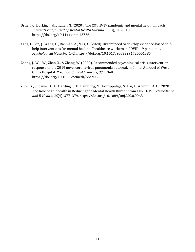- Usher, K., Durkin, J., & Bhullar, N. (2020). The COVID-19 pandemic and mental health impacts. *International Journal of Mental Health Nursing*, *29*(3), 315–318. https://doi.org/10.1111/inm.12726
- Yang, L., Yin, J., Wang, D., Rahman, A., & Li, X. (2020). Urgent need to develop evidence-based selfhelp interventions for mental health of healthcare workers in COVID-19 pandemic. *Psychological Medicine*, 1–2. https://doi.org/10.1017/S0033291720001385
- Zhang, J., Wu, W., Zhao, X., & Zhang, W. (2020). Recommended psychological crisis intervention response to the 2019 novel coronavirus pneumonia outbreak in China: A model of West China Hospital. *Precision Clinical Medicine*, *3*(1), 3–8. https://doi.org/10.1093/pcmedi/pbaa006
- Zhou, X., Snoswell, C. L., Harding, L. E., Bambling, M., Edirippulige, S., Bai, X., & Smith, A. C. (2020). The Role of Telehealth in Reducing the Mental Health Burden from COVID-19. Telemedicine *and E-Health*, *26*(4), 377–379. https://doi.org/10.1089/tmj.2020.0068